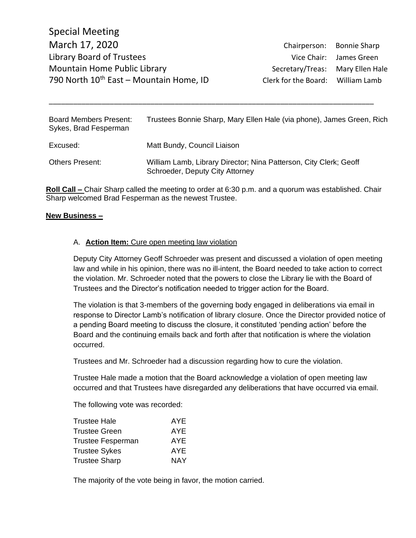| <b>Board Members Present:</b><br>Sykes, Brad Fesperman | Trustees Bonnie Sharp, Mary Ellen Hale (via phone), James Green, Rich                                |
|--------------------------------------------------------|------------------------------------------------------------------------------------------------------|
| Excused:                                               | Matt Bundy, Council Liaison                                                                          |
| <b>Others Present:</b>                                 | William Lamb, Library Director; Nina Patterson, City Clerk; Geoff<br>Schroeder, Deputy City Attorney |

\_\_\_\_\_\_\_\_\_\_\_\_\_\_\_\_\_\_\_\_\_\_\_\_\_\_\_\_\_\_\_\_\_\_\_\_\_\_\_\_\_\_\_\_\_\_\_\_\_\_\_\_\_\_\_\_\_\_\_\_\_\_\_\_\_\_\_\_\_\_\_\_\_\_\_\_\_\_\_\_

**Roll Call –** Chair Sharp called the meeting to order at 6:30 p.m. and a quorum was established. Chair Sharp welcomed Brad Fesperman as the newest Trustee.

## **New Business –**

## A. **Action Item:** Cure open meeting law violation

Deputy City Attorney Geoff Schroeder was present and discussed a violation of open meeting law and while in his opinion, there was no ill-intent, the Board needed to take action to correct the violation. Mr. Schroeder noted that the powers to close the Library lie with the Board of Trustees and the Director's notification needed to trigger action for the Board.

The violation is that 3-members of the governing body engaged in deliberations via email in response to Director Lamb's notification of library closure. Once the Director provided notice of a pending Board meeting to discuss the closure, it constituted 'pending action' before the Board and the continuing emails back and forth after that notification is where the violation occurred.

Trustees and Mr. Schroeder had a discussion regarding how to cure the violation.

Trustee Hale made a motion that the Board acknowledge a violation of open meeting law occurred and that Trustees have disregarded any deliberations that have occurred via email.

The following vote was recorded:

| Trustee Hale      | AYE. |
|-------------------|------|
| Trustee Green     | AYE. |
| Trustee Fesperman | AYE. |
| Trustee Sykes     | AYE. |
| Trustee Sharp     | NAY  |

The majority of the vote being in favor, the motion carried.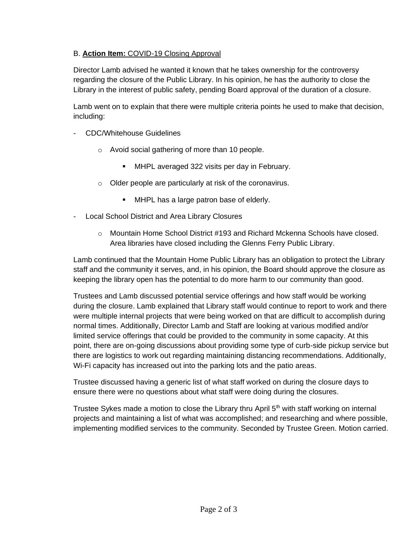## B. **Action Item:** COVID-19 Closing Approval

Director Lamb advised he wanted it known that he takes ownership for the controversy regarding the closure of the Public Library. In his opinion, he has the authority to close the Library in the interest of public safety, pending Board approval of the duration of a closure.

Lamb went on to explain that there were multiple criteria points he used to make that decision, including:

- CDC/Whitehouse Guidelines
	- o Avoid social gathering of more than 10 people.
		- MHPL averaged 322 visits per day in February.
	- o Older people are particularly at risk of the coronavirus.
		- **■** MHPL has a large patron base of elderly.
- Local School District and Area Library Closures
	- $\circ$  Mountain Home School District #193 and Richard Mckenna Schools have closed. Area libraries have closed including the Glenns Ferry Public Library.

Lamb continued that the Mountain Home Public Library has an obligation to protect the Library staff and the community it serves, and, in his opinion, the Board should approve the closure as keeping the library open has the potential to do more harm to our community than good.

Trustees and Lamb discussed potential service offerings and how staff would be working during the closure. Lamb explained that Library staff would continue to report to work and there were multiple internal projects that were being worked on that are difficult to accomplish during normal times. Additionally, Director Lamb and Staff are looking at various modified and/or limited service offerings that could be provided to the community in some capacity. At this point, there are on-going discussions about providing some type of curb-side pickup service but there are logistics to work out regarding maintaining distancing recommendations. Additionally, Wi-Fi capacity has increased out into the parking lots and the patio areas.

Trustee discussed having a generic list of what staff worked on during the closure days to ensure there were no questions about what staff were doing during the closures.

Trustee Sykes made a motion to close the Library thru April  $5<sup>th</sup>$  with staff working on internal projects and maintaining a list of what was accomplished; and researching and where possible, implementing modified services to the community. Seconded by Trustee Green. Motion carried.